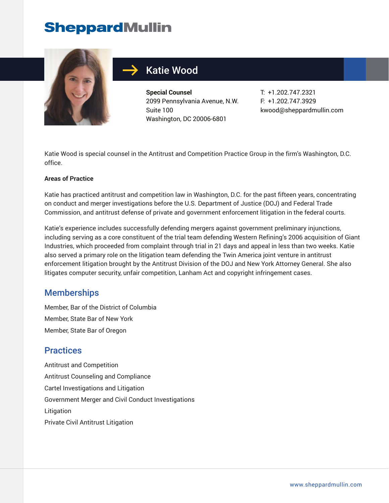# **SheppardMullin**



## Katie Wood

**Special Counsel** 2099 Pennsylvania Avenue, N.W. Suite 100 Washington, DC 20006-6801

T: +1.202.747.2321 F: +1.202.747.3929 kwood@sheppardmullin.com

Katie Wood is special counsel in the Antitrust and Competition Practice Group in the firm's Washington, D.C. office.

#### **Areas of Practice**

Katie has practiced antitrust and competition law in Washington, D.C. for the past fifteen years, concentrating on conduct and merger investigations before the U.S. Department of Justice (DOJ) and Federal Trade Commission, and antitrust defense of private and government enforcement litigation in the federal courts.

Katie's experience includes successfully defending mergers against government preliminary injunctions, including serving as a core constituent of the trial team defending Western Refining's 2006 acquisition of Giant Industries, which proceeded from complaint through trial in 21 days and appeal in less than two weeks. Katie also served a primary role on the litigation team defending the Twin America joint venture in antitrust enforcement litigation brought by the Antitrust Division of the DOJ and New York Attorney General. She also litigates computer security, unfair competition, Lanham Act and copyright infringement cases.

#### **Memberships**

Member, Bar of the District of Columbia Member, State Bar of New York Member, State Bar of Oregon

#### **Practices**

Antitrust and Competition Antitrust Counseling and Compliance Cartel Investigations and Litigation Government Merger and Civil Conduct Investigations **Litigation** Private Civil Antitrust Litigation